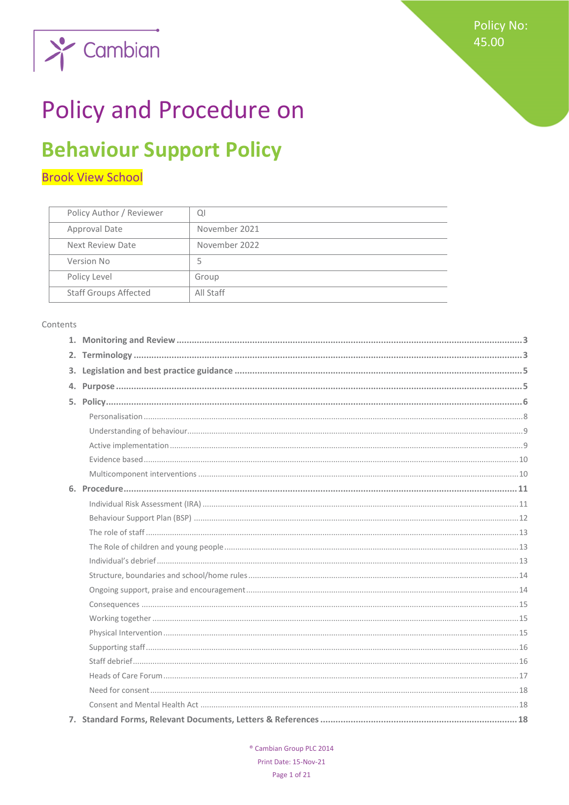

# **Policy and Procedure on**

## **Behaviour Support Policy**

## **Brook View School**

| Policy Author / Reviewer     | QI            |
|------------------------------|---------------|
| Approval Date                | November 2021 |
| Next Review Date             | November 2022 |
| Version No                   | 5             |
| Policy Level                 | Group         |
| <b>Staff Groups Affected</b> | All Staff     |
|                              |               |

#### Contents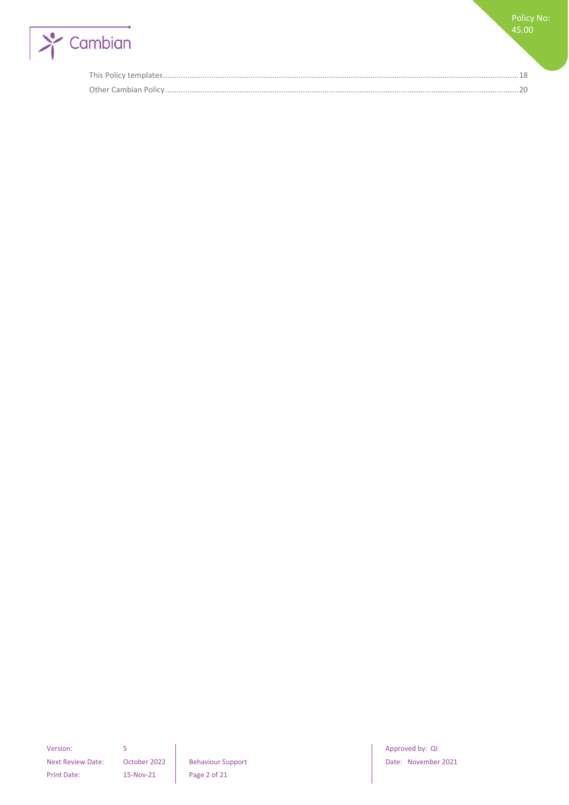

Next Review Date: October 2022 | Behaviour Support | Date: November 2021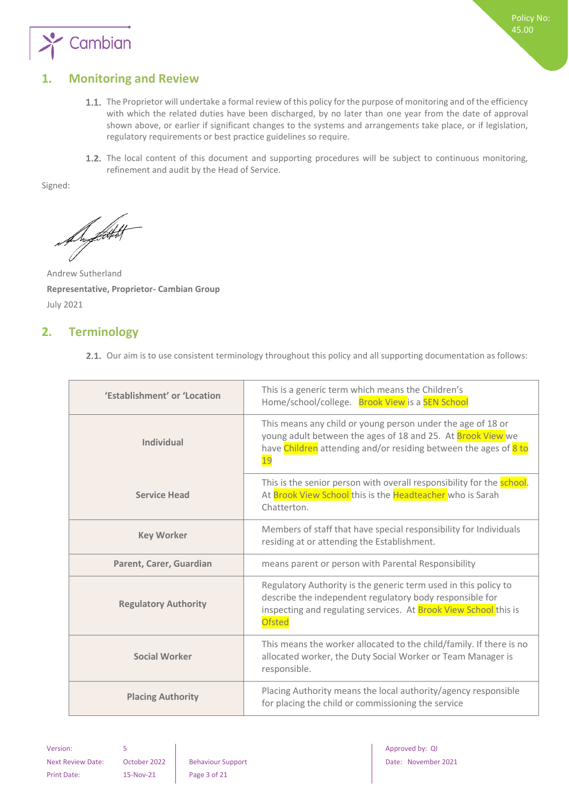

## <span id="page-2-0"></span>**1. Monitoring and Review**

- 1.1. The Proprietor will undertake a formal review of this policy for the purpose of monitoring and of the efficiency with which the related duties have been discharged, by no later than one year from the date of approval shown above, or earlier if significant changes to the systems and arrangements take place, or if legislation, regulatory requirements or best practice guidelines so require.
- 1.2. The local content of this document and supporting procedures will be subject to continuous monitoring, refinement and audit by the Head of Service.

Signed:

Superfield

Andrew Sutherland **Representative, Proprietor- Cambian Group** July 2021

## <span id="page-2-1"></span>**2. Terminology**

2.1. Our aim is to use consistent terminology throughout this policy and all supporting documentation as follows:

| 'Establishment' or 'Location | This is a generic term which means the Children's<br>Home/school/college. Brook View is a SEN School                                                                                                                    |
|------------------------------|-------------------------------------------------------------------------------------------------------------------------------------------------------------------------------------------------------------------------|
| <b>Individual</b>            | This means any child or young person under the age of 18 or<br>young adult between the ages of 18 and 25. At Brook View we<br>have Children attending and/or residing between the ages of 8 to<br>19                    |
| <b>Service Head</b>          | This is the senior person with overall responsibility for the <b>school</b> .<br>At Brook View School this is the Headteacher who is Sarah<br>Chatterton.                                                               |
| <b>Key Worker</b>            | Members of staff that have special responsibility for Individuals<br>residing at or attending the Establishment.                                                                                                        |
| Parent, Carer, Guardian      | means parent or person with Parental Responsibility                                                                                                                                                                     |
| <b>Regulatory Authority</b>  | Regulatory Authority is the generic term used in this policy to<br>describe the independent regulatory body responsible for<br>inspecting and regulating services. At <b>Brook View School</b> this is<br><b>Ofsted</b> |
| <b>Social Worker</b>         | This means the worker allocated to the child/family. If there is no<br>allocated worker, the Duty Social Worker or Team Manager is<br>responsible.                                                                      |
| <b>Placing Authority</b>     | Placing Authority means the local authority/agency responsible<br>for placing the child or commissioning the service                                                                                                    |

Print Date: 15-Nov-21 Page 3 of 21

Version: 5 Approved by: QI Approved by: QI Approved by: QI Approved by: QI Approved by: QI Next Review Date: October 2022 Behaviour Support Date: November 2021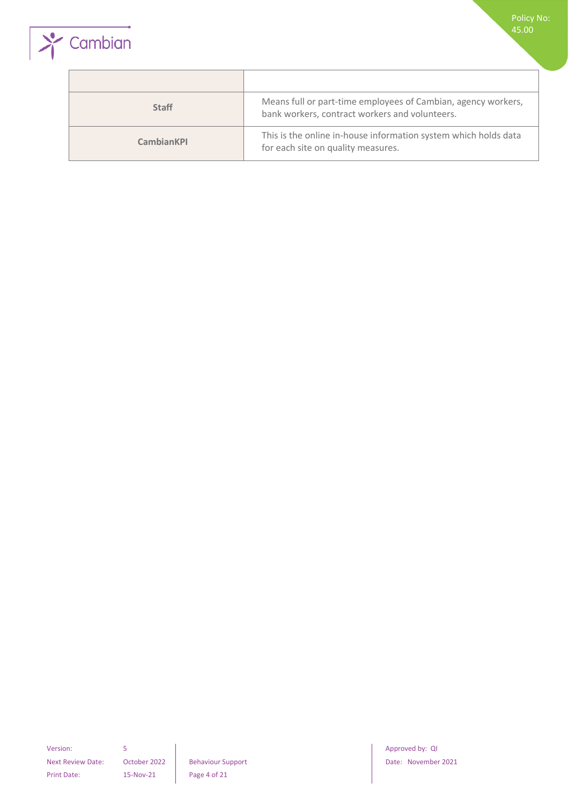



| <b>Staff</b>      | Means full or part-time employees of Cambian, agency workers,<br>bank workers, contract workers and volunteers. |
|-------------------|-----------------------------------------------------------------------------------------------------------------|
| <b>CambianKPI</b> | This is the online in-house information system which holds data<br>for each site on quality measures.           |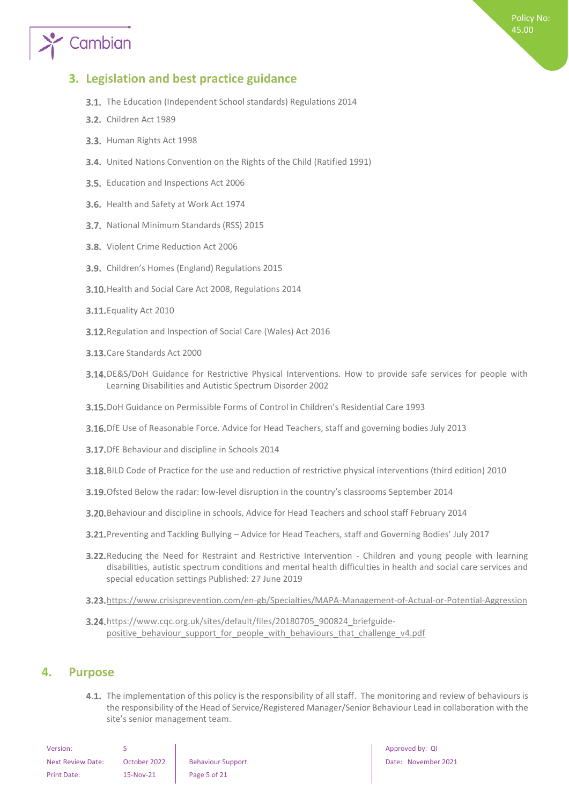# Cambian

## <span id="page-4-0"></span>**3. Legislation and best practice guidance**

- **3.1.** The Education (Independent School standards) Regulations 2014
- **3.2.** Children Act 1989
- 3.3. Human Rights Act 1998
- United Nations Convention on the Rights of the Child (Ratified 1991)
- 3.5. Education and Inspections Act 2006
- 3.6. Health and Safety at Work Act 1974
- 3.7. National Minimum Standards (RSS) 2015
- 3.8. Violent Crime Reduction Act 2006
- 3.9. Children's Homes (England) Regulations 2015
- 3.10. Health and Social Care Act 2008, Regulations 2014
- **3.11.** Equality Act 2010
- 3.12. Regulation and Inspection of Social Care (Wales) Act 2016
- 3.13. Care Standards Act 2000
- 3.14. DE&S/DoH Guidance for Restrictive Physical Interventions. How to provide safe services for people with Learning Disabilities and Autistic Spectrum Disorder 2002
- DoH Guidance on Permissible Forms of Control in Children's Residential Care 1993
- 3.16. DfE Use of Reasonable Force. Advice for Head Teachers, staff and governing bodies July 2013
- **3.17.** DfE Behaviour and discipline in Schools 2014
- BILD Code of Practice for the use and reduction of restrictive physical interventions (third edition) 2010
- 3.19. Ofsted Below the radar: low-level disruption in the country's classrooms September 2014
- Behaviour and discipline in schools, Advice for Head Teachers and school staff February 2014
- Preventing and Tackling Bullying Advice for Head Teachers, staff and Governing Bodies' July 2017
- 3.22. Reducing the Need for Restraint and Restrictive Intervention Children and young people with learning disabilities, autistic spectrum conditions and mental health difficulties in health and social care services and special education settings Published: 27 June 2019
- 3.23. <https://www.crisisprevention.com/en-gb/Specialties/MAPA-Management-of-Actual-or-Potential-Aggression>
- 3.24. [https://www.cqc.org.uk/sites/default/files/20180705\\_900824\\_briefguide](https://www.cqc.org.uk/sites/default/files/20180705_900824_briefguide-positive_behaviour_support_for_people_with_behaviours_that_challenge_v4.pdf)positive behaviour support for people with behaviours that challenge v4.pdf

### <span id="page-4-1"></span>**4. Purpose**

4.1. The implementation of this policy is the responsibility of all staff. The monitoring and review of behaviours is the responsibility of the Head of Service/Registered Manager/Senior Behaviour Lead in collaboration with the site's senior management team.

| Version:                 |              |                          |
|--------------------------|--------------|--------------------------|
| <b>Next Review Date:</b> | October 2022 | <b>Behaviour Support</b> |
| Print Date:              | 15-Nov-21    | Page 5 of 21             |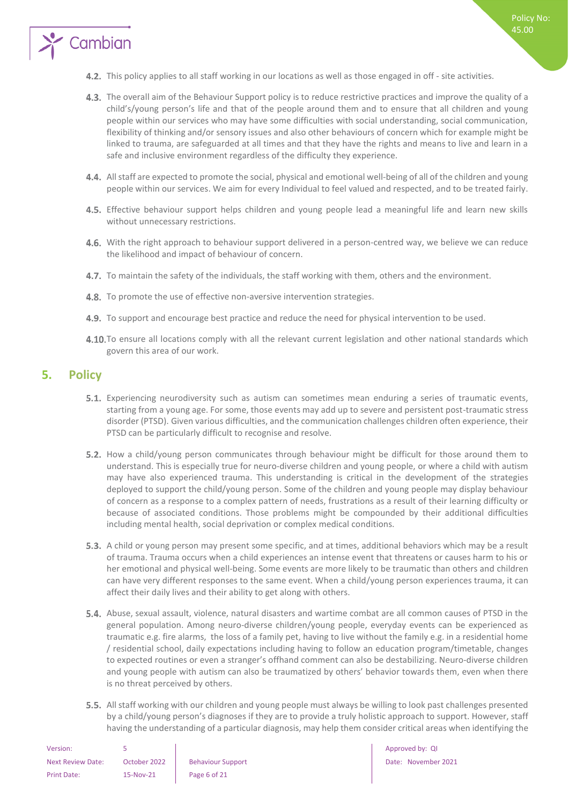

- 4.3. The overall aim of the Behaviour Support policy is to reduce restrictive practices and improve the quality of a child's/young person's life and that of the people around them and to ensure that all children and young people within our services who may have some difficulties with social understanding, social communication, flexibility of thinking and/or sensory issues and also other behaviours of concern which for example might be linked to trauma, are safeguarded at all times and that they have the rights and means to live and learn in a safe and inclusive environment regardless of the difficulty they experience.
- All staff are expected to promote the social, physical and emotional well-being of all of the children and young people within our services. We aim for every Individual to feel valued and respected, and to be treated fairly.
- 4.5. Effective behaviour support helps children and young people lead a meaningful life and learn new skills without unnecessary restrictions.
- 4.6. With the right approach to behaviour support delivered in a person-centred way, we believe we can reduce the likelihood and impact of behaviour of concern.
- 4.7. To maintain the safety of the individuals, the staff working with them, others and the environment.
- 4.8. To promote the use of effective non-aversive intervention strategies.
- 4.9. To support and encourage best practice and reduce the need for physical intervention to be used.
- 4.10. To ensure all locations comply with all the relevant current legislation and other national standards which govern this area of our work.

## <span id="page-5-0"></span>**5. Policy**

Cambian

- Experiencing neurodiversity such as autism can sometimes mean enduring a series of traumatic events, starting from a young age. For some, those events may add up to severe and persistent post-traumatic stress disorder (PTSD). Given various difficulties, and the communication challenges children often experience, their PTSD can be particularly difficult to recognise and resolve.
- 5.2. How a child/young person communicates through behaviour might be difficult for those around them to understand. This is especially true for neuro-diverse children and young people, or where a child with autism may have also experienced trauma. This understanding is critical in the development of the strategies deployed to support the child/young person. Some of the children and young people may display behaviour of concern as a response to a complex pattern of needs, frustrations as a result of their learning difficulty or because of associated conditions. Those problems might be compounded by their additional difficulties including mental health, social deprivation or complex medical conditions.
- 5.3. A child or young person may present some specific, and at times, additional behaviors which may be a result of trauma. Trauma occurs when a child experiences an intense event that threatens or causes harm to his or her emotional and physical well-being. Some events are more likely to be traumatic than others and children can have very different responses to the same event. When a child/young person experiences trauma, it can affect their daily lives and their ability to get along with others.
- 5.4. Abuse, sexual assault, violence, natural disasters and wartime combat are all common causes of PTSD in the general population. Among neuro-diverse children/young people, everyday events can be experienced as traumatic e.g. fire alarms, the loss of a family pet, having to live without the family e.g. in a residential home / residential school, daily expectations including having to follow an education program/timetable, changes to expected routines or even a stranger's offhand comment can also be destabilizing. Neuro-diverse children and young people with autism can also be traumatized by others' behavior towards them, even when there is no threat perceived by others.
- 5.5. All staff working with our children and young people must always be willing to look past challenges presented by a child/young person's diagnoses if they are to provide a truly holistic approach to support. However, staff having the understanding of a particular diagnosis, may help them consider critical areas when identifying the

| Version:                 |              |                          |
|--------------------------|--------------|--------------------------|
| <b>Next Review Date:</b> | October 2022 | <b>Behaviour Support</b> |
| Print Date:              | 15-Nov-21    | Page 6 of 21             |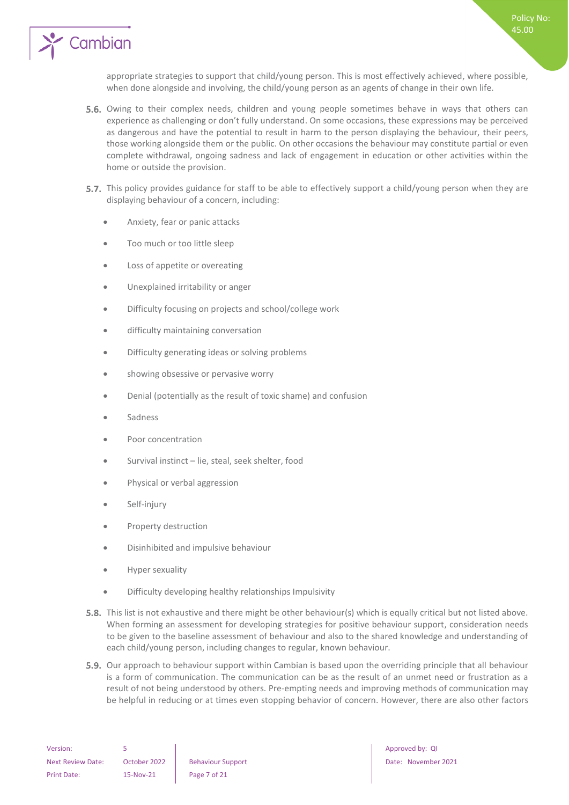

appropriate strategies to support that child/young person. This is most effectively achieved, where possible, when done alongside and involving, the child/young person as an agents of change in their own life.

- 5.6. Owing to their complex needs, children and young people sometimes behave in ways that others can experience as challenging or don't fully understand. On some occasions, these expressions may be perceived as dangerous and have the potential to result in harm to the person displaying the behaviour, their peers, those working alongside them or the public. On other occasions the behaviour may constitute partial or even complete withdrawal, ongoing sadness and lack of engagement in education or other activities within the home or outside the provision.
- 5.7. This policy provides guidance for staff to be able to effectively support a child/young person when they are displaying behaviour of a concern, including:
	- Anxiety, fear or panic attacks
	- Too much or too little sleep
	- Loss of appetite or overeating
	- Unexplained irritability or anger
	- Difficulty focusing on projects and school/college work
	- difficulty maintaining conversation
	- Difficulty generating ideas or solving problems
	- showing obsessive or pervasive worry
	- Denial (potentially as the result of toxic shame) and confusion
	- **Sadness**
	- Poor concentration
	- Survival instinct lie, steal, seek shelter, food
	- Physical or verbal aggression
	- Self-injury
	- Property destruction
	- Disinhibited and impulsive behaviour
	- Hyper sexuality
	- Difficulty developing healthy relationships Impulsivity
- **5.8.** This list is not exhaustive and there might be other behaviour(s) which is equally critical but not listed above. When forming an assessment for developing strategies for positive behaviour support, consideration needs to be given to the baseline assessment of behaviour and also to the shared knowledge and understanding of each child/young person, including changes to regular, known behaviour.
- **5.9.** Our approach to behaviour support within Cambian is based upon the overriding principle that all behaviour is a form of communication. The communication can be as the result of an unmet need or frustration as a result of not being understood by others. Pre-empting needs and improving methods of communication may be helpful in reducing or at times even stopping behavior of concern. However, there are also other factors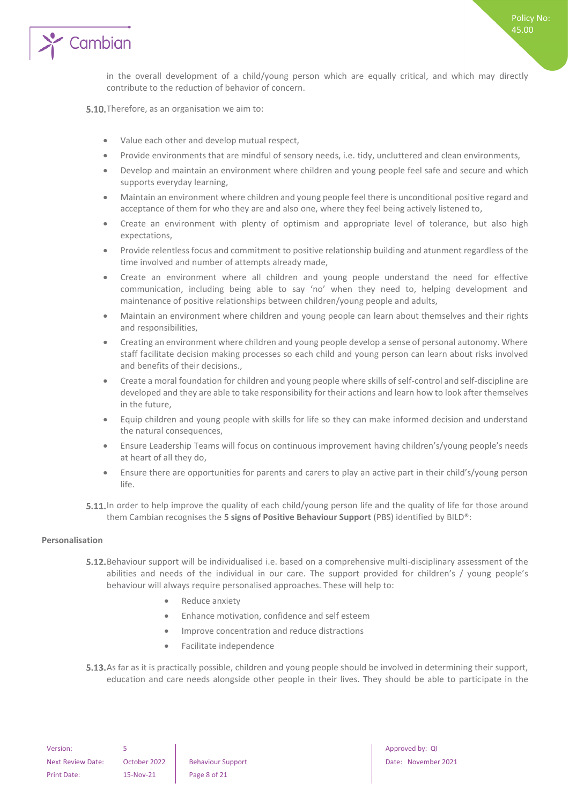

in the overall development of a child/young person which are equally critical, and which may directly contribute to the reduction of behavior of concern.

5.10. Therefore, as an organisation we aim to:

- Value each other and develop mutual respect,
- Provide environments that are mindful of sensory needs, i.e. tidy, uncluttered and clean environments,
- Develop and maintain an environment where children and young people feel safe and secure and which supports everyday learning,
- Maintain an environment where children and young people feel there is unconditional positive regard and acceptance of them for who they are and also one, where they feel being actively listened to,
- Create an environment with plenty of optimism and appropriate level of tolerance, but also high expectations,
- Provide relentless focus and commitment to positive relationship building and atunment regardless of the time involved and number of attempts already made,
- Create an environment where all children and young people understand the need for effective communication, including being able to say 'no' when they need to, helping development and maintenance of positive relationships between children/young people and adults,
- Maintain an environment where children and young people can learn about themselves and their rights and responsibilities,
- Creating an environment where children and young people develop a sense of personal autonomy. Where staff facilitate decision making processes so each child and young person can learn about risks involved and benefits of their decisions.,
- Create a moral foundation for children and young people where skills of self-control and self-discipline are developed and they are able to take responsibility for their actions and learn how to look after themselves in the future,
- Equip children and young people with skills for life so they can make informed decision and understand the natural consequences,
- Ensure Leadership Teams will focus on continuous improvement having children's/young people's needs at heart of all they do,
- Ensure there are opportunities for parents and carers to play an active part in their child's/young person life.
- 5.11. In order to help improve the quality of each child/young person life and the quality of life for those around them Cambian recognises the **5 signs of Positive Behaviour Support** (PBS) identified by BILD®:

#### <span id="page-7-0"></span>**Personalisation**

- **5.12.** Behaviour support will be individualised i.e. based on a comprehensive multi-disciplinary assessment of the abilities and needs of the individual in our care. The support provided for children's / young people's behaviour will always require personalised approaches. These will help to:
	- Reduce anxiety
	- Enhance motivation, confidence and self esteem
	- Improve concentration and reduce distractions
	- Facilitate independence
- 5.13. As far as it is practically possible, children and young people should be involved in determining their support, education and care needs alongside other people in their lives. They should be able to participate in the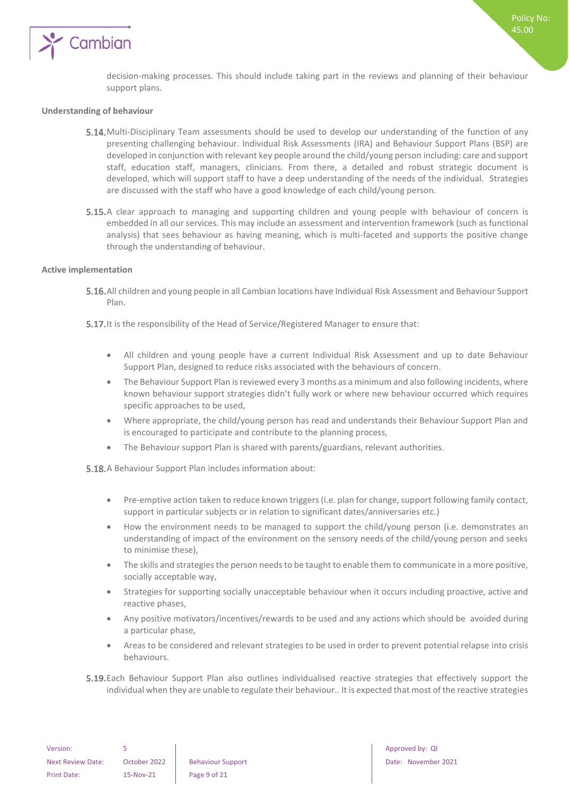

Policy No: 45.00

#### <span id="page-8-0"></span>**Understanding of behaviour**

- 5.14. Multi-Disciplinary Team assessments should be used to develop our understanding of the function of any presenting challenging behaviour. Individual Risk Assessments (IRA) and Behaviour Support Plans (BSP) are developed in conjunction with relevant key people around the child/young person including: care and support staff, education staff, managers, clinicians. From there, a detailed and robust strategic document is developed, which will support staff to have a deep understanding of the needs of the individual. Strategies are discussed with the staff who have a good knowledge of each child/young person.
- 5.15. A clear approach to managing and supporting children and young people with behaviour of concern is embedded in all our services. This may include an assessment and intervention framework (such as functional analysis) that sees behaviour as having meaning, which is multi-faceted and supports the positive change through the understanding of behaviour.

#### <span id="page-8-1"></span>**Active implementation**

- All children and young people in all Cambian locations have Individual Risk Assessment and Behaviour Support Plan.
- 5.17. It is the responsibility of the Head of Service/Registered Manager to ensure that:
	- All children and young people have a current Individual Risk Assessment and up to date Behaviour Support Plan, designed to reduce risks associated with the behaviours of concern.
	- The Behaviour Support Plan is reviewed every 3 months as a minimum and also following incidents, where known behaviour support strategies didn't fully work or where new behaviour occurred which requires specific approaches to be used,
	- Where appropriate, the child/young person has read and understands their Behaviour Support Plan and is encouraged to participate and contribute to the planning process,
	- The Behaviour support Plan is shared with parents/guardians, relevant authorities.

5.18. A Behaviour Support Plan includes information about:

- Pre-emptive action taken to reduce known triggers (i.e. plan for change, support following family contact, support in particular subjects or in relation to significant dates/anniversaries etc.)
- How the environment needs to be managed to support the child/young person (i.e. demonstrates an understanding of impact of the environment on the sensory needs of the child/young person and seeks to minimise these),
- The skills and strategies the person needs to be taught to enable them to communicate in a more positive, socially acceptable way,
- Strategies for supporting socially unacceptable behaviour when it occurs including proactive, active and reactive phases,
- Any positive motivators/incentives/rewards to be used and any actions which should be avoided during a particular phase,
- Areas to be considered and relevant strategies to be used in order to prevent potential relapse into crisis behaviours.
- Each Behaviour Support Plan also outlines individualised reactive strategies that effectively support the individual when they are unable to regulate their behaviour.. It is expected that most of the reactive strategies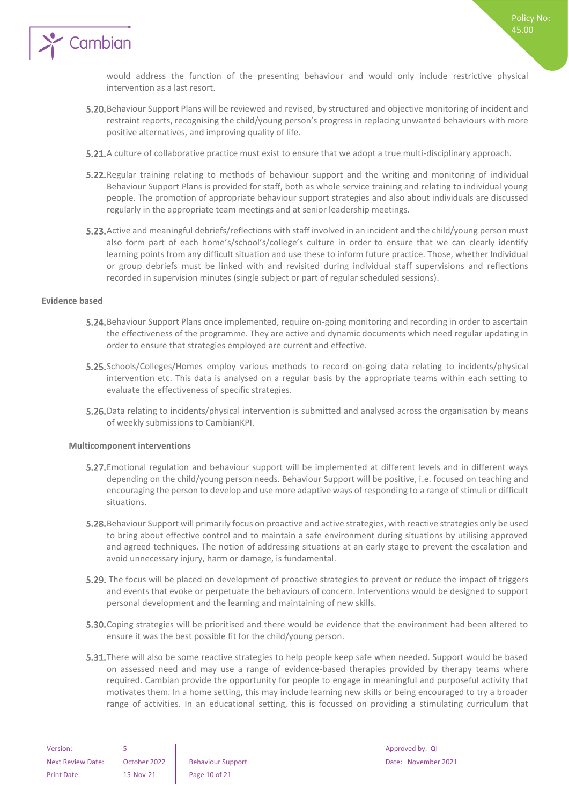

would address the function of the presenting behaviour and would only include restrictive physical intervention as a last resort.

- Behaviour Support Plans will be reviewed and revised, by structured and objective monitoring of incident and restraint reports, recognising the child/young person's progress in replacing unwanted behaviours with more positive alternatives, and improving quality of life.
- **5.21.** A culture of collaborative practice must exist to ensure that we adopt a true multi-disciplinary approach.
- **5.22.** Regular training relating to methods of behaviour support and the writing and monitoring of individual Behaviour Support Plans is provided for staff, both as whole service training and relating to individual young people. The promotion of appropriate behaviour support strategies and also about individuals are discussed regularly in the appropriate team meetings and at senior leadership meetings.
- 5.23. Active and meaningful debriefs/reflections with staff involved in an incident and the child/young person must also form part of each home's/school's/college's culture in order to ensure that we can clearly identify learning points from any difficult situation and use these to inform future practice. Those, whether Individual or group debriefs must be linked with and revisited during individual staff supervisions and reflections recorded in supervision minutes (single subject or part of regular scheduled sessions).

#### <span id="page-9-0"></span>**Evidence based**

- **5.24.** Behaviour Support Plans once implemented, require on-going monitoring and recording in order to ascertain the effectiveness of the programme. They are active and dynamic documents which need regular updating in order to ensure that strategies employed are current and effective.
- 5.25. Schools/Colleges/Homes employ various methods to record on-going data relating to incidents/physical intervention etc. This data is analysed on a regular basis by the appropriate teams within each setting to evaluate the effectiveness of specific strategies.
- 5.26. Data relating to incidents/physical intervention is submitted and analysed across the organisation by means of weekly submissions to CambianKPI.

#### <span id="page-9-1"></span>**Multicomponent interventions**

- **5.27.** Emotional regulation and behaviour support will be implemented at different levels and in different ways depending on the child/young person needs. Behaviour Support will be positive, i.e. focused on teaching and encouraging the person to develop and use more adaptive ways of responding to a range of stimuli or difficult situations.
- 5.28. Behaviour Support will primarily focus on proactive and active strategies, with reactive strategies only be used to bring about effective control and to maintain a safe environment during situations by utilising approved and agreed techniques. The notion of addressing situations at an early stage to prevent the escalation and avoid unnecessary injury, harm or damage, is fundamental.
- 5.29. The focus will be placed on development of proactive strategies to prevent or reduce the impact of triggers and events that evoke or perpetuate the behaviours of concern. Interventions would be designed to support personal development and the learning and maintaining of new skills.
- **5.30.** Coping strategies will be prioritised and there would be evidence that the environment had been altered to ensure it was the best possible fit for the child/young person.
- **5.31.** There will also be some reactive strategies to help people keep safe when needed. Support would be based on assessed need and may use a range of evidence-based therapies provided by therapy teams where required. Cambian provide the opportunity for people to engage in meaningful and purposeful activity that motivates them. In a home setting, this may include learning new skills or being encouraged to try a broader range of activities. In an educational setting, this is focussed on providing a stimulating curriculum that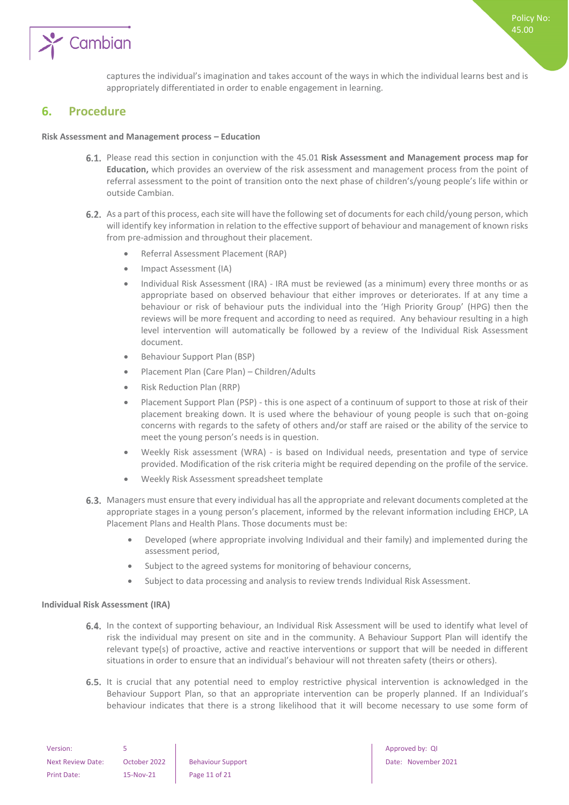

captures the individual's imagination and takes account of the ways in which the individual learns best and is appropriately differentiated in order to enable engagement in learning.

## <span id="page-10-0"></span>**6. Procedure**

#### **Risk Assessment and Management process – Education**

- Please read this section in conjunction with the 45.01 **Risk Assessment and Management process map for Education,** which provides an overview of the risk assessment and management process from the point of referral assessment to the point of transition onto the next phase of children's/young people's life within or outside Cambian.
- 6.2. As a part of this process, each site will have the following set of documents for each child/young person, which will identify key information in relation to the effective support of behaviour and management of known risks from pre-admission and throughout their placement.
	- Referral Assessment Placement (RAP)
	- Impact Assessment (IA)
	- Individual Risk Assessment (IRA) IRA must be reviewed (as a minimum) every three months or as appropriate based on observed behaviour that either improves or deteriorates. If at any time a behaviour or risk of behaviour puts the individual into the 'High Priority Group' (HPG) then the reviews will be more frequent and according to need as required. Any behaviour resulting in a high level intervention will automatically be followed by a review of the Individual Risk Assessment document.
	- Behaviour Support Plan (BSP)
	- Placement Plan (Care Plan) Children/Adults
	- Risk Reduction Plan (RRP)
	- Placement Support Plan (PSP) this is one aspect of a continuum of support to those at risk of their placement breaking down. It is used where the behaviour of young people is such that on-going concerns with regards to the safety of others and/or staff are raised or the ability of the service to meet the young person's needs is in question.
	- Weekly Risk assessment (WRA) is based on Individual needs, presentation and type of service provided. Modification of the risk criteria might be required depending on the profile of the service.
	- Weekly Risk Assessment spreadsheet template
- 6.3. Managers must ensure that every individual has all the appropriate and relevant documents completed at the appropriate stages in a young person's placement, informed by the relevant information including EHCP, LA Placement Plans and Health Plans. Those documents must be:
	- Developed (where appropriate involving Individual and their family) and implemented during the assessment period,
	- Subject to the agreed systems for monitoring of behaviour concerns,
	- Subject to data processing and analysis to review trends Individual Risk Assessment.

#### <span id="page-10-1"></span>**Individual Risk Assessment (IRA)**

- 6.4. In the context of supporting behaviour, an Individual Risk Assessment will be used to identify what level of risk the individual may present on site and in the community. A Behaviour Support Plan will identify the relevant type(s) of proactive, active and reactive interventions or support that will be needed in different situations in order to ensure that an individual's behaviour will not threaten safety (theirs or others).
- 6.5. It is crucial that any potential need to employ restrictive physical intervention is acknowledged in the Behaviour Support Plan, so that an appropriate intervention can be properly planned. If an Individual's behaviour indicates that there is a strong likelihood that it will become necessary to use some form of

| Version:          |              |                          |
|-------------------|--------------|--------------------------|
| Next Review Date: | October 2022 | <b>Behaviour Support</b> |
| Print Date:       | 15-Nov-21    | Page 11 of 21            |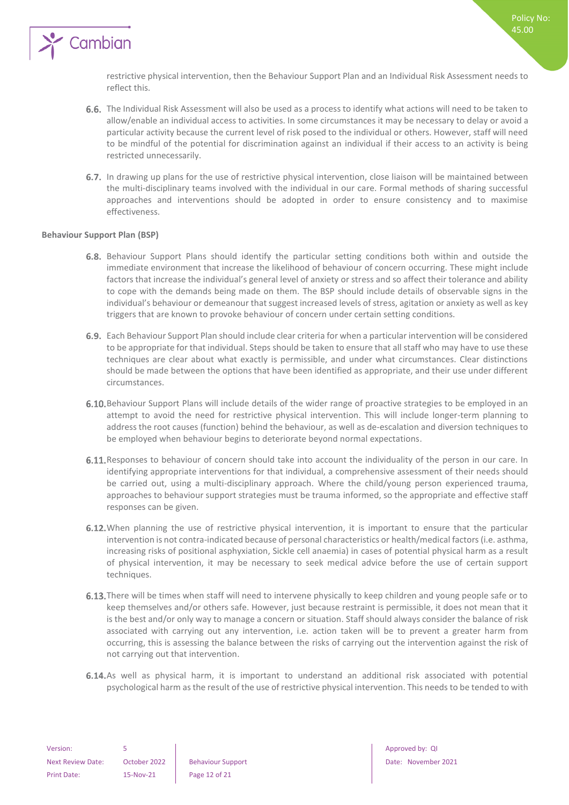

restrictive physical intervention, then the Behaviour Support Plan and an Individual Risk Assessment needs to reflect this.

Policy No: 45.00

- 6.6. The Individual Risk Assessment will also be used as a process to identify what actions will need to be taken to allow/enable an individual access to activities. In some circumstances it may be necessary to delay or avoid a particular activity because the current level of risk posed to the individual or others. However, staff will need to be mindful of the potential for discrimination against an individual if their access to an activity is being restricted unnecessarily.
- 6.7. In drawing up plans for the use of restrictive physical intervention, close liaison will be maintained between the multi-disciplinary teams involved with the individual in our care. Formal methods of sharing successful approaches and interventions should be adopted in order to ensure consistency and to maximise effectiveness.

#### <span id="page-11-0"></span>**Behaviour Support Plan (BSP)**

- 6.8. Behaviour Support Plans should identify the particular setting conditions both within and outside the immediate environment that increase the likelihood of behaviour of concern occurring. These might include factors that increase the individual's general level of anxiety or stress and so affect their tolerance and ability to cope with the demands being made on them. The BSP should include details of observable signs in the individual's behaviour or demeanour that suggest increased levels of stress, agitation or anxiety as well as key triggers that are known to provoke behaviour of concern under certain setting conditions.
- Each Behaviour Support Plan should include clear criteria for when a particular intervention will be considered to be appropriate for that individual. Steps should be taken to ensure that all staff who may have to use these techniques are clear about what exactly is permissible, and under what circumstances. Clear distinctions should be made between the options that have been identified as appropriate, and their use under different circumstances.
- 6.10. Behaviour Support Plans will include details of the wider range of proactive strategies to be employed in an attempt to avoid the need for restrictive physical intervention. This will include longer-term planning to address the root causes (function) behind the behaviour, as well as de-escalation and diversion techniques to be employed when behaviour begins to deteriorate beyond normal expectations.
- 6.11. Responses to behaviour of concern should take into account the individuality of the person in our care. In identifying appropriate interventions for that individual, a comprehensive assessment of their needs should be carried out, using a multi-disciplinary approach. Where the child/young person experienced trauma, approaches to behaviour support strategies must be trauma informed, so the appropriate and effective staff responses can be given.
- 6.12. When planning the use of restrictive physical intervention, it is important to ensure that the particular intervention is not contra-indicated because of personal characteristics or health/medical factors (i.e. asthma, increasing risks of positional asphyxiation, Sickle cell anaemia) in cases of potential physical harm as a result of physical intervention, it may be necessary to seek medical advice before the use of certain support techniques.
- 6.13. There will be times when staff will need to intervene physically to keep children and young people safe or to keep themselves and/or others safe. However, just because restraint is permissible, it does not mean that it is the best and/or only way to manage a concern or situation. Staff should always consider the balance of risk associated with carrying out any intervention, i.e. action taken will be to prevent a greater harm from occurring, this is assessing the balance between the risks of carrying out the intervention against the risk of not carrying out that intervention.
- 6.14. As well as physical harm, it is important to understand an additional risk associated with potential psychological harm as the result of the use of restrictive physical intervention. This needs to be tended to with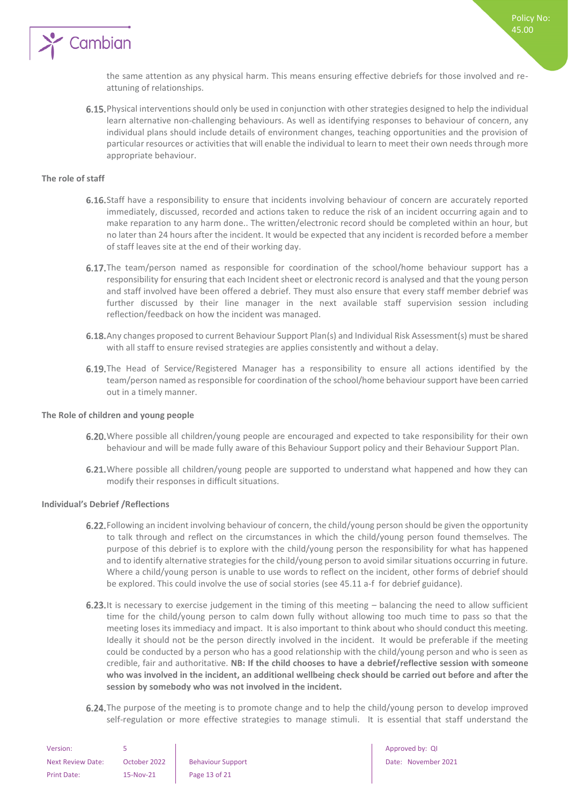

the same attention as any physical harm. This means ensuring effective debriefs for those involved and reattuning of relationships.

6.15. Physical interventions should only be used in conjunction with other strategies designed to help the individual learn alternative non-challenging behaviours. As well as identifying responses to behaviour of concern, any individual plans should include details of environment changes, teaching opportunities and the provision of particular resources or activities that will enable the individual to learn to meet their own needs through more appropriate behaviour.

#### <span id="page-12-0"></span>**The role of staff**

- 6.16. Staff have a responsibility to ensure that incidents involving behaviour of concern are accurately reported immediately, discussed, recorded and actions taken to reduce the risk of an incident occurring again and to make reparation to any harm done.. The written/electronic record should be completed within an hour, but no later than 24 hours after the incident. It would be expected that any incident is recorded before a member of staff leaves site at the end of their working day.
- **6.17.** The team/person named as responsible for coordination of the school/home behaviour support has a responsibility for ensuring that each Incident sheet or electronic record is analysed and that the young person and staff involved have been offered a debrief. They must also ensure that every staff member debrief was further discussed by their line manager in the next available staff supervision session including reflection/feedback on how the incident was managed.
- 6.18. Any changes proposed to current Behaviour Support Plan(s) and Individual Risk Assessment(s) must be shared with all staff to ensure revised strategies are applies consistently and without a delay.
- 6.19. The Head of Service/Registered Manager has a responsibility to ensure all actions identified by the team/person named as responsible for coordination of the school/home behaviour support have been carried out in a timely manner.

#### <span id="page-12-1"></span>**The Role of children and young people**

- 6.20. Where possible all children/young people are encouraged and expected to take responsibility for their own behaviour and will be made fully aware of this Behaviour Support policy and their Behaviour Support Plan.
- 6.21. Where possible all children/young people are supported to understand what happened and how they can modify their responses in difficult situations.

#### <span id="page-12-2"></span>**Individual's Debrief /Reflections**

- 6.22. Following an incident involving behaviour of concern, the child/young person should be given the opportunity to talk through and reflect on the circumstances in which the child/young person found themselves. The purpose of this debrief is to explore with the child/young person the responsibility for what has happened and to identify alternative strategies for the child/young person to avoid similar situations occurring in future. Where a child/young person is unable to use words to reflect on the incident, other forms of debrief should be explored. This could involve the use of social stories (see 45.11 a-f for debrief guidance).
- 6.23. It is necessary to exercise judgement in the timing of this meeting  $-$  balancing the need to allow sufficient time for the child/young person to calm down fully without allowing too much time to pass so that the meeting loses its immediacy and impact. It is also important to think about who should conduct this meeting. Ideally it should not be the person directly involved in the incident. It would be preferable if the meeting could be conducted by a person who has a good relationship with the child/young person and who is seen as credible, fair and authoritative. **NB: If the child chooses to have a debrief/reflective session with someone who was involved in the incident, an additional wellbeing check should be carried out before and after the session by somebody who was not involved in the incident.**
- 6.24. The purpose of the meeting is to promote change and to help the child/young person to develop improved self-regulation or more effective strategies to manage stimuli. It is essential that staff understand the

| Version:                 |              |                          |
|--------------------------|--------------|--------------------------|
| <b>Next Review Date:</b> | October 2022 | <b>Behaviour Support</b> |
| <b>Print Date:</b>       | 15-Nov-21    | Page 13 of 21            |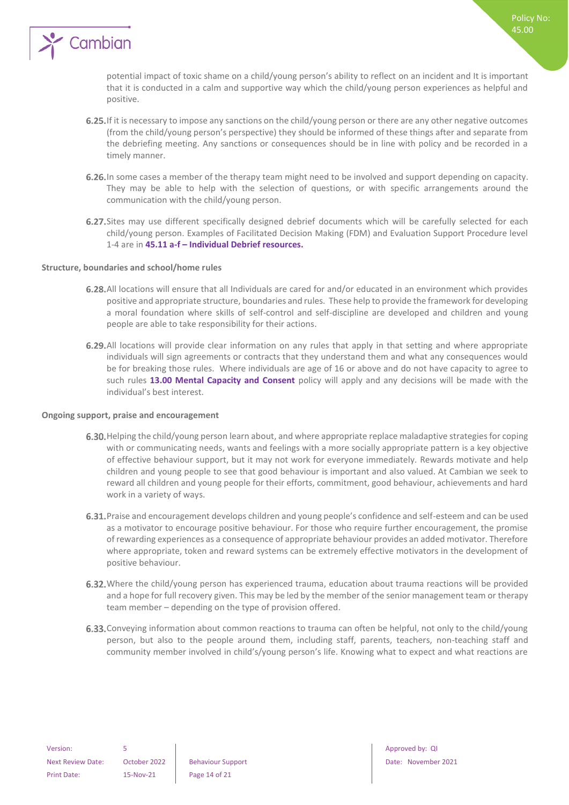

potential impact of toxic shame on a child/young person's ability to reflect on an incident and It is important that it is conducted in a calm and supportive way which the child/young person experiences as helpful and positive.

- 6.25. If it is necessary to impose any sanctions on the child/young person or there are any other negative outcomes (from the child/young person's perspective) they should be informed of these things after and separate from the debriefing meeting. Any sanctions or consequences should be in line with policy and be recorded in a timely manner.
- 6.26. In some cases a member of the therapy team might need to be involved and support depending on capacity. They may be able to help with the selection of questions, or with specific arrangements around the communication with the child/young person.
- 6.27. Sites may use different specifically designed debrief documents which will be carefully selected for each child/young person. Examples of Facilitated Decision Making (FDM) and Evaluation Support Procedure level 1-4 are in **45.11 a-f – Individual Debrief resources.**

#### <span id="page-13-0"></span>**Structure, boundaries and school/home rules**

- All locations will ensure that all Individuals are cared for and/or educated in an environment which provides positive and appropriate structure, boundaries and rules. These help to provide the framework for developing a moral foundation where skills of self-control and self-discipline are developed and children and young people are able to take responsibility for their actions.
- 6.29. All locations will provide clear information on any rules that apply in that setting and where appropriate individuals will sign agreements or contracts that they understand them and what any consequences would be for breaking those rules. Where individuals are age of 16 or above and do not have capacity to agree to such rules **13.00 Mental Capacity and Consent** policy will apply and any decisions will be made with the individual's best interest.

#### <span id="page-13-1"></span>**Ongoing support, praise and encouragement**

- 6.30. Helping the child/young person learn about, and where appropriate replace maladaptive strategies for coping with or communicating needs, wants and feelings with a more socially appropriate pattern is a key objective of effective behaviour support, but it may not work for everyone immediately. Rewards motivate and help children and young people to see that good behaviour is important and also valued. At Cambian we seek to reward all children and young people for their efforts, commitment, good behaviour, achievements and hard work in a variety of ways.
- 6.31. Praise and encouragement develops children and young people's confidence and self-esteem and can be used as a motivator to encourage positive behaviour. For those who require further encouragement, the promise of rewarding experiences as a consequence of appropriate behaviour provides an added motivator. Therefore where appropriate, token and reward systems can be extremely effective motivators in the development of positive behaviour.
- 6.32. Where the child/young person has experienced trauma, education about trauma reactions will be provided and a hope for full recovery given. This may be led by the member of the senior management team or therapy team member – depending on the type of provision offered.
- 6.33. Conveying information about common reactions to trauma can often be helpful, not only to the child/young person, but also to the people around them, including staff, parents, teachers, non-teaching staff and community member involved in child's/young person's life. Knowing what to expect and what reactions are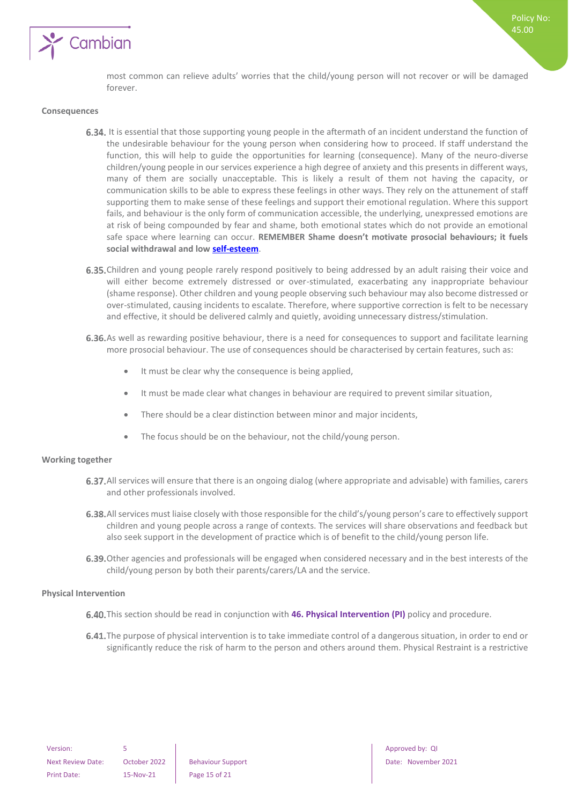

most common can relieve adults' worries that the child/young person will not recover or will be damaged forever.

#### <span id="page-14-0"></span>**Consequences**

- 6.34. It is essential that those supporting young people in the aftermath of an incident understand the function of the undesirable behaviour for the young person when considering how to proceed. If staff understand the function, this will help to guide the opportunities for learning (consequence). Many of the neuro-diverse children/young people in our services experience a high degree of anxiety and this presents in different ways, many of them are socially unacceptable. This is likely a result of them not having the capacity, or communication skills to be able to express these feelings in other ways. They rely on the attunement of staff supporting them to make sense of these feelings and support their emotional regulation. Where this support fails, and behaviour is the only form of communication accessible, the underlying, unexpressed emotions are at risk of being compounded by fear and shame, both emotional states which do not provide an emotional safe space where learning can occur. **REMEMBER Shame doesn't motivate prosocial behaviours; it fuels social withdrawal and low [self-esteem](https://www.psychologytoday.com/us/basics/self-esteem)**.
- 6.35. Children and young people rarely respond positively to being addressed by an adult raising their voice and will either become extremely distressed or over-stimulated, exacerbating any inappropriate behaviour (shame response). Other children and young people observing such behaviour may also become distressed or over-stimulated, causing incidents to escalate. Therefore, where supportive correction is felt to be necessary and effective, it should be delivered calmly and quietly, avoiding unnecessary distress/stimulation.
- 6.36. As well as rewarding positive behaviour, there is a need for consequences to support and facilitate learning more prosocial behaviour. The use of consequences should be characterised by certain features, such as:
	- It must be clear why the consequence is being applied,
	- It must be made clear what changes in behaviour are required to prevent similar situation,
	- There should be a clear distinction between minor and major incidents,
	- The focus should be on the behaviour, not the child/young person.

#### <span id="page-14-1"></span>**Working together**

- 6.37. All services will ensure that there is an ongoing dialog (where appropriate and advisable) with families, carers and other professionals involved.
- 6.38. All services must liaise closely with those responsible for the child's/young person's care to effectively support children and young people across a range of contexts. The services will share observations and feedback but also seek support in the development of practice which is of benefit to the child/young person life.
- 6.39. Other agencies and professionals will be engaged when considered necessary and in the best interests of the child/young person by both their parents/carers/LA and the service.

#### <span id="page-14-2"></span>**Physical Intervention**

- 6.40. This section should be read in conjunction with 46. Physical Intervention (PI) policy and procedure.
- 6.41. The purpose of physical intervention is to take immediate control of a dangerous situation, in order to end or significantly reduce the risk of harm to the person and others around them. Physical Restraint is a restrictive

Next Review Date: October 2022 Behaviour Support Date: November 2021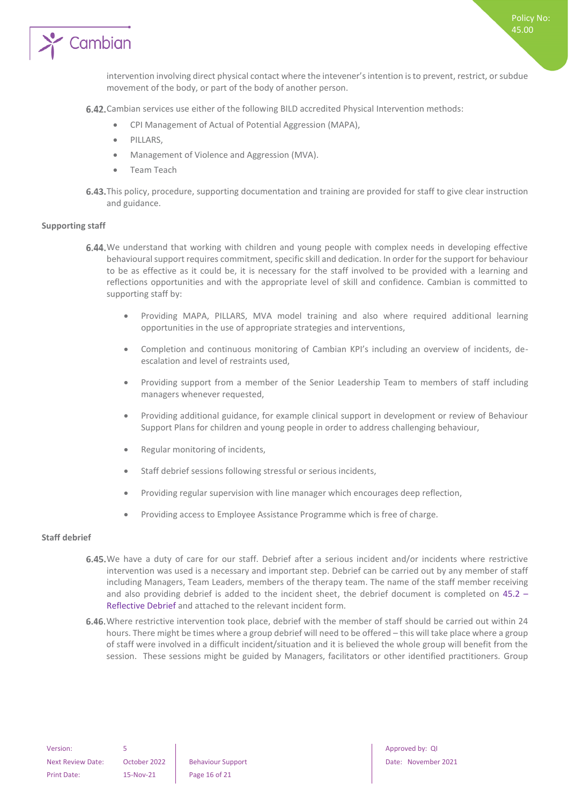

Policy No: 45.00

6.42. Cambian services use either of the following BILD accredited Physical Intervention methods:

- CPI Management of Actual of Potential Aggression (MAPA),
- PILLARS,
- Management of Violence and Aggression (MVA).
- Team Teach
- 6.43. This policy, procedure, supporting documentation and training are provided for staff to give clear instruction and guidance.

#### <span id="page-15-0"></span>**Supporting staff**

- 6.44. We understand that working with children and young people with complex needs in developing effective behavioural support requires commitment, specific skill and dedication. In order for the support for behaviour to be as effective as it could be, it is necessary for the staff involved to be provided with a learning and reflections opportunities and with the appropriate level of skill and confidence. Cambian is committed to supporting staff by:
	- Providing MAPA, PILLARS, MVA model training and also where required additional learning opportunities in the use of appropriate strategies and interventions,
	- Completion and continuous monitoring of Cambian KPI's including an overview of incidents, deescalation and level of restraints used,
	- Providing support from a member of the Senior Leadership Team to members of staff including managers whenever requested,
	- Providing additional guidance, for example clinical support in development or review of Behaviour Support Plans for children and young people in order to address challenging behaviour,
	- Regular monitoring of incidents,
	- Staff debrief sessions following stressful or serious incidents,
	- Providing regular supervision with line manager which encourages deep reflection,
	- Providing access to Employee Assistance Programme which is free of charge.

#### <span id="page-15-1"></span>**Staff debrief**

- 6.45. We have a duty of care for our staff. Debrief after a serious incident and/or incidents where restrictive intervention was used is a necessary and important step. Debrief can be carried out by any member of staff including Managers, Team Leaders, members of the therapy team. The name of the staff member receiving and also providing debrief is added to the incident sheet, the debrief document is completed on 45.2 – Reflective Debrief and attached to the relevant incident form.
- 6.46. Where restrictive intervention took place, debrief with the member of staff should be carried out within 24 hours. There might be times where a group debrief will need to be offered – this will take place where a group of staff were involved in a difficult incident/situation and it is believed the whole group will benefit from the session. These sessions might be guided by Managers, facilitators or other identified practitioners. Group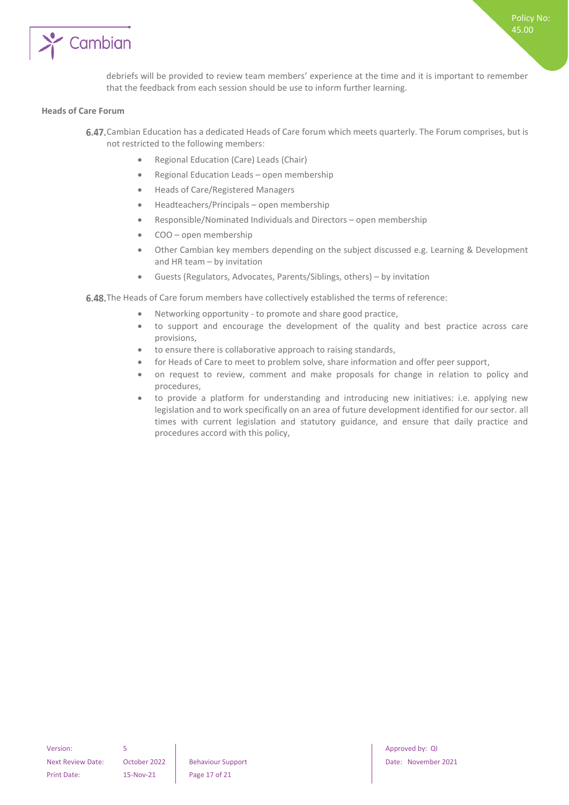

debriefs will be provided to review team members' experience at the time and it is important to remember that the feedback from each session should be use to inform further learning.

#### <span id="page-16-0"></span>**Heads of Care Forum**

- 6.47. Cambian Education has a dedicated Heads of Care forum which meets quarterly. The Forum comprises, but is not restricted to the following members:
	- Regional Education (Care) Leads (Chair)
	- Regional Education Leads open membership
	- Heads of Care/Registered Managers
	- Headteachers/Principals open membership
	- Responsible/Nominated Individuals and Directors open membership
	- COO open membership
	- Other Cambian key members depending on the subject discussed e.g. Learning & Development and HR team – by invitation
	- Guests (Regulators, Advocates, Parents/Siblings, others) by invitation

6.48. The Heads of Care forum members have collectively established the terms of reference:

- Networking opportunity to promote and share good practice,
- to support and encourage the development of the quality and best practice across care provisions,
- to ensure there is collaborative approach to raising standards,
- for Heads of Care to meet to problem solve, share information and offer peer support,
- on request to review, comment and make proposals for change in relation to policy and procedures,
- to provide a platform for understanding and introducing new initiatives: i.e. applying new legislation and to work specifically on an area of future development identified for our sector. all times with current legislation and statutory guidance, and ensure that daily practice and procedures accord with this policy,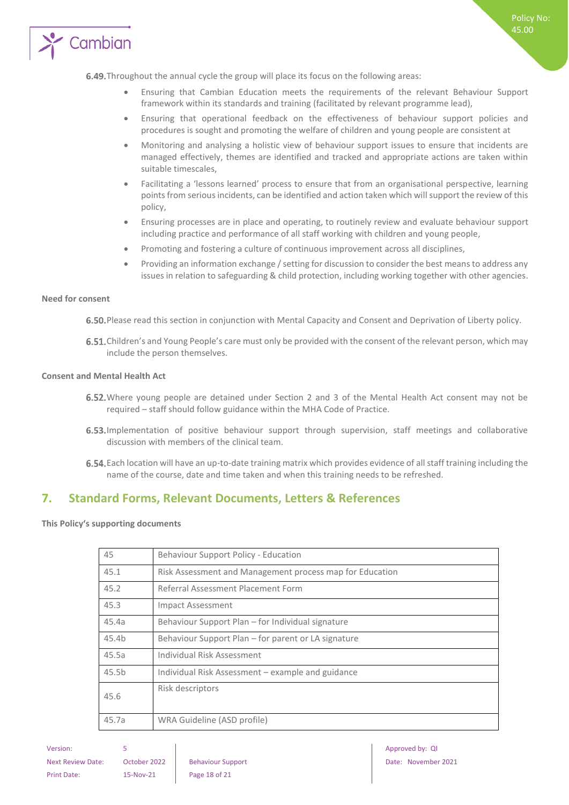

- Ensuring that Cambian Education meets the requirements of the relevant Behaviour Support framework within its standards and training (facilitated by relevant programme lead),
- Ensuring that operational feedback on the effectiveness of behaviour support policies and procedures is sought and promoting the welfare of children and young people are consistent at
- Monitoring and analysing a holistic view of behaviour support issues to ensure that incidents are managed effectively, themes are identified and tracked and appropriate actions are taken within suitable timescales,
- Facilitating a 'lessons learned' process to ensure that from an organisational perspective, learning points from serious incidents, can be identified and action taken which will support the review of this policy,
- Ensuring processes are in place and operating, to routinely review and evaluate behaviour support including practice and performance of all staff working with children and young people,
- Promoting and fostering a culture of continuous improvement across all disciplines,
- Providing an information exchange / setting for discussion to consider the best means to address any issues in relation to safeguarding & child protection, including working together with other agencies.

#### <span id="page-17-0"></span>**Need for consent**

6.50. Please read this section in conjunction with Mental Capacity and Consent and Deprivation of Liberty policy.

6.51. Children's and Young People's care must only be provided with the consent of the relevant person, which may include the person themselves.

#### <span id="page-17-1"></span>**Consent and Mental Health Act**

- 6.52. Where young people are detained under Section 2 and 3 of the Mental Health Act consent may not be required – staff should follow guidance within the MHA Code of Practice.
- 6.53. Implementation of positive behaviour support through supervision, staff meetings and collaborative discussion with members of the clinical team.
- Each location will have an up-to-date training matrix which provides evidence of all staff training including the name of the course, date and time taken and when this training needs to be refreshed.

## <span id="page-17-2"></span>**7. Standard Forms, Relevant Documents, Letters & References**

<span id="page-17-3"></span>**This Policy's supporting documents**

| 45                | Behaviour Support Policy - Education                     |
|-------------------|----------------------------------------------------------|
| 45.1              | Risk Assessment and Management process map for Education |
| 45.2              | Referral Assessment Placement Form                       |
| 45.3              | <b>Impact Assessment</b>                                 |
| 45.4a             | Behaviour Support Plan – for Individual signature        |
| 45.4b             | Behaviour Support Plan – for parent or LA signature      |
| 45.5a             | Individual Risk Assessment                               |
| 45.5 <sub>b</sub> | Individual Risk Assessment – example and guidance        |
| 45.6              | Risk descriptors                                         |
| 45.7a             | WRA Guideline (ASD profile)                              |
|                   |                                                          |

Version: 5 5 Approved by: QI Approved by: QI Approved by: QI Approved by: QI Approved by: QI Next Review Date: October 2022 Behaviour Support Date: November 2021 Print Date: 15-Nov-21 Page 18 of 21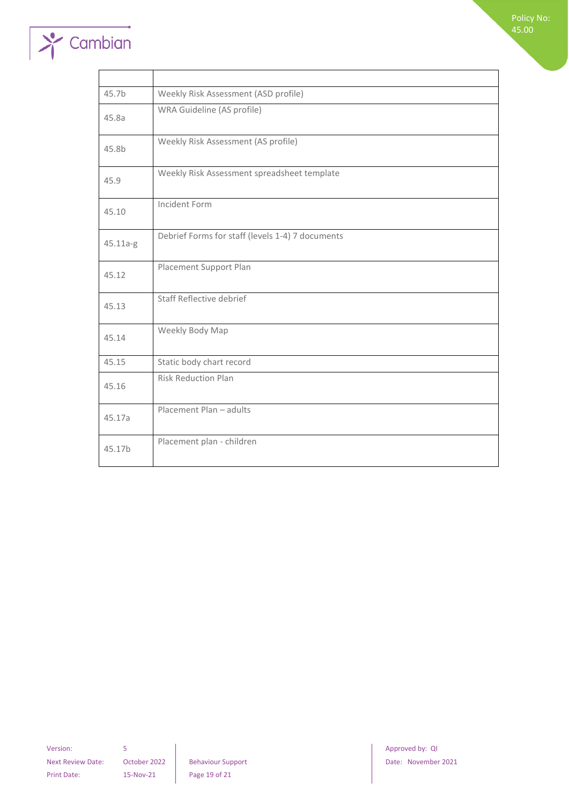

| 45.7b    | Weekly Risk Assessment (ASD profile)             |
|----------|--------------------------------------------------|
| 45.8a    | WRA Guideline (AS profile)                       |
| 45.8b    | Weekly Risk Assessment (AS profile)              |
| 45.9     | Weekly Risk Assessment spreadsheet template      |
| 45.10    | Incident Form                                    |
| 45.11a-g | Debrief Forms for staff (levels 1-4) 7 documents |
| 45.12    | Placement Support Plan                           |
| 45.13    | Staff Reflective debrief                         |
| 45.14    | Weekly Body Map                                  |
| 45.15    | Static body chart record                         |
| 45.16    | <b>Risk Reduction Plan</b>                       |
| 45.17a   | Placement Plan - adults                          |
| 45.17b   | Placement plan - children                        |

Version: 5 **5 1 Approved by: QI** Print Date: 15-Nov-21 Page 19 of 21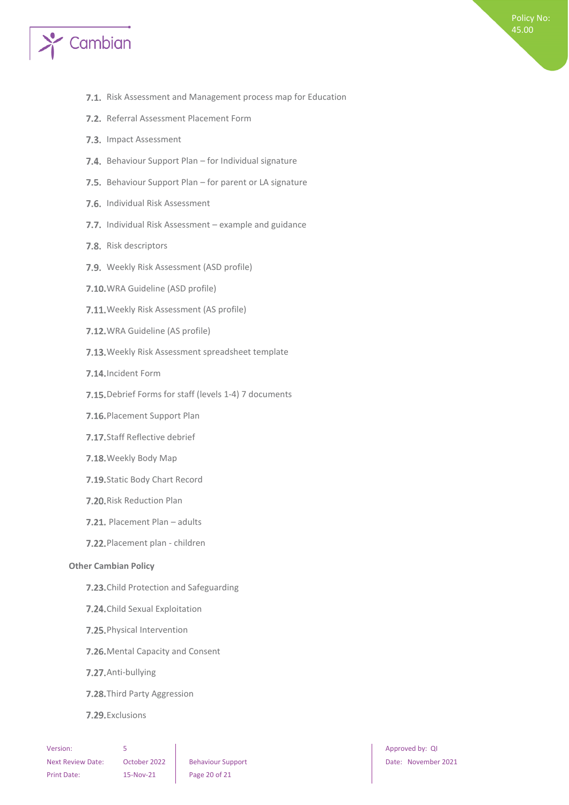

- 7.1. Risk Assessment and Management process map for Education
- 7.2. Referral Assessment Placement Form
- 7.3. Impact Assessment
- 7.4. Behaviour Support Plan for Individual signature
- 7.5. Behaviour Support Plan for parent or LA signature
- 7.6. Individual Risk Assessment
- 7.7. Individual Risk Assessment example and guidance
- 7.8. Risk descriptors
- 7.9. Weekly Risk Assessment (ASD profile)
- 7.10. WRA Guideline (ASD profile)
- 7.11. Weekly Risk Assessment (AS profile)
- 7.12. WRA Guideline (AS profile)
- 7.13. Weekly Risk Assessment spreadsheet template
- 7.14. Incident Form
- 7.15. Debrief Forms for staff (levels 1-4) 7 documents
- 7.16. Placement Support Plan
- 7.17. Staff Reflective debrief
- 7.18. Weekly Body Map
- 7.19. Static Body Chart Record
- 7.20. Risk Reduction Plan
- 7.21. Placement Plan adults
- 7.22. Placement plan children

#### <span id="page-19-0"></span>**Other Cambian Policy**

- 7.23. Child Protection and Safeguarding
- 7.24. Child Sexual Exploitation
- 7.25. Physical Intervention
- 7.26. Mental Capacity and Consent
- 7.27. Anti-bullying
- 7.28. Third Party Aggression
- 7.29. Exclusions